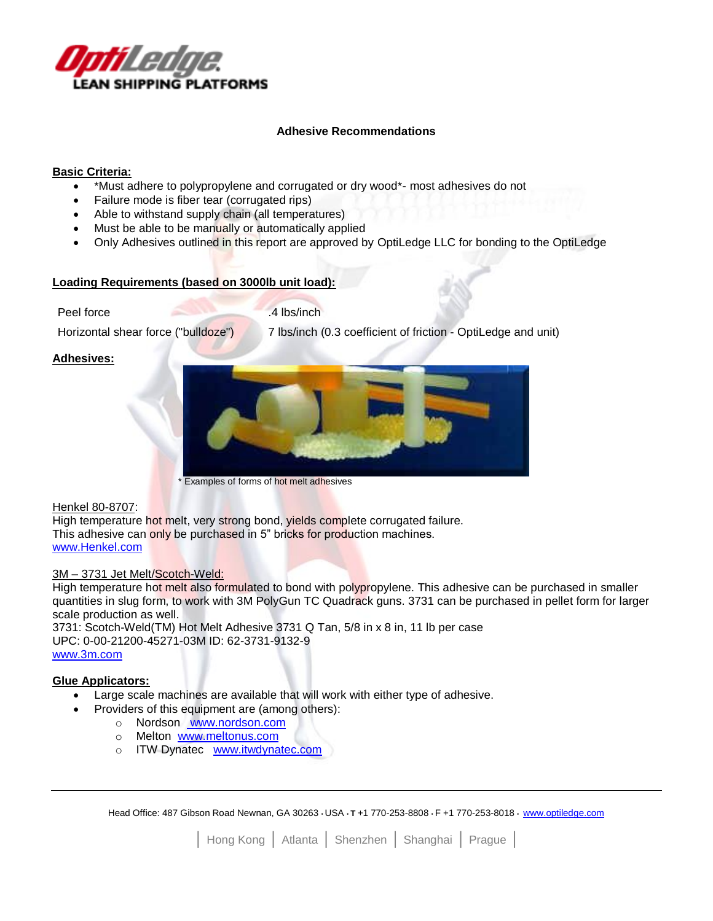

### **Adhesive Recommendations**

## **Basic Criteria:**

- \*Must adhere to polypropylene and corrugated or dry wood\*- most adhesives do not
- Failure mode is fiber tear (corrugated rips)
- Able to withstand supply chain (all temperatures)
- Must be able to be manually or automatically applied
- Only Adhesives outlined in this report are approved by OptiLedge LLC for bonding to the OptiLedge

### **Loading Requirements (based on 3000lb unit load):**

Peel force 1.4 lbs/inch

Horizontal shear force ("bulldoze") 7 lbs/inch (0.3 coefficient of friction - OptiLedge and unit)

# **Adhesives:**



#### Henkel 80-8707:

High temperature hot melt, very strong bond, yields complete corrugated failure. This adhesive can only be purchased in 5" bricks for production machines. [www.Henkel.com](http://www.henkel.com/)

#### 3M - 3731 Jet Melt/Scotch-Weld:

High temperature hot melt also formulated to bond with polypropylene. This adhesive can be purchased in smaller quantities in slug form, to work with 3M PolyGun TC Quadrack guns. 3731 can be purchased in pellet form for larger scale production as well.

3731: Scotch-Weld(TM) Hot Melt Adhesive 3731 Q Tan, 5/8 in x 8 in, 11 lb per case UPC: 0-00-21200-45271-03M ID: 62-3731-9132-9 [www.3m.com](http://www.3m.com/)

# **Glue Applicators:**

- Large scale machines are available that will work with either type of adhesive.
	- Providers of this equipment are (among others):
		- o Nordson [www.nordson.com](../../Documents/ACT/Local%20Settings/Temporary%20Internet%20Files/OLK2B/%20www.nordson.com)
			- o Melton [www.meltonus.com](../../Documents/ACT/Local%20Settings/Temporary%20Internet%20Files/OLK2B/www.meltonus.com)
			- o ITW Dynatec [www.itwdynatec.com](http://www.itwdynatec.com/)

Head Office: 487 Gibson Road Newnan, GA 30263 • USA • **T** +1 770-253-8808 • F +1 770-253-8018 • [www.optiledge.com](http://www.optiledge.com/)